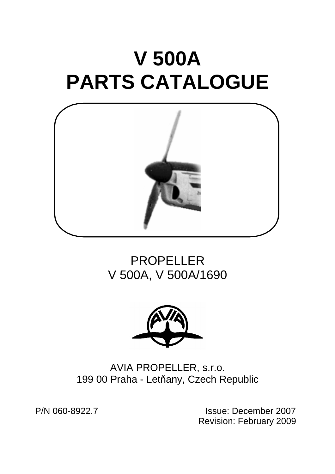# **V 500A PARTS CATALOGUE**



# PROPELLER V 500A, V 500A/1690



AVIA PROPELLER, s.r.o. 199 00 Praha - Letňany, Czech Republic

P/N 060-8922.7 Issue: December 2007 Revision: February 2009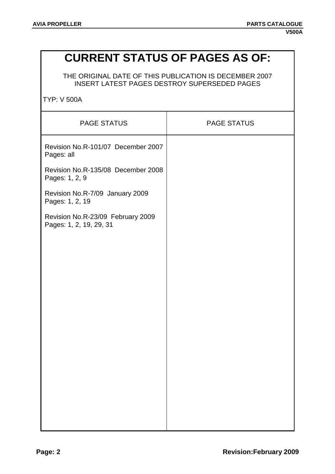## **CURRENT STATUS OF PAGES AS OF:**

THE ORIGINAL DATE OF THIS PUBLICATION IS DECEMBER 2007 INSERT LATEST PAGES DESTROY SUPERSEDED PAGES

TYP: V 500A

| PAGE STATUS                                                  | PAGE STATUS |
|--------------------------------------------------------------|-------------|
| Revision No.R-101/07 December 2007<br>Pages: all             |             |
| Revision No.R-135/08 December 2008<br>Pages: 1, 2, 9         |             |
| Revision No.R-7/09 January 2009<br>Pages: 1, 2, 19           |             |
| Revision No.R-23/09 February 2009<br>Pages: 1, 2, 19, 29, 31 |             |
|                                                              |             |
|                                                              |             |
|                                                              |             |
|                                                              |             |
|                                                              |             |
|                                                              |             |
|                                                              |             |
|                                                              |             |
|                                                              |             |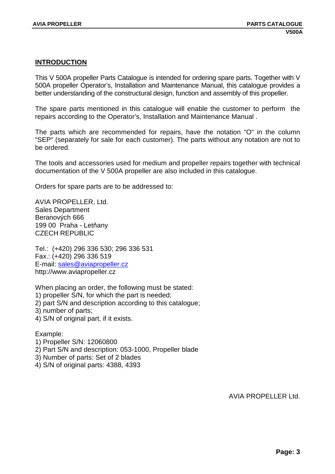#### **INTRODUCTION**

This V 500A propeller Parts Catalogue is intended for ordering spare parts. Together with V 500A propeller Operator's, Installation and Maintenance Manual, this catalogue provides a better understanding of the constructural design, function and assembly of this propeller.

The spare parts mentioned in this catalogue will enable the customer to perform the repairs according to the Operator's, Installation and Maintenance Manual .

The parts which are recommended for repairs, have the notation "O" in the column "SEP" (separately for sale for each customer). The parts without any notation are not to be ordered.

The tools and accessories used for medium and propeller repairs together with technical documentation of the V 500A propeller are also included in this catalogue.

Orders for spare parts are to be addressed to:

AVIA PROPELLER, Ltd. Sales Department Beranových 666 199 00 Praha - Letňany CZECH REPUBLIC

Tel.: (+420) 296 336 530; 296 336 531 Fax.: (+420) 296 336 519 E-mail: sales@aviapropeller.cz http://www.aviapropeller.cz

When placing an order, the following must be stated:

- 1) propeller S/N, for which the part is needed;
- 2) part S/N and description according to this catalogue;
- 3) number of parts;
- 4) S/N of original part, if it exists.

#### Example:

- 1) Propeller S/N: 12060800
- 2) Part S/N and description: 053-1000, Propeller blade
- 3) Number of parts: Set of 2 blades
- 4) S/N of original parts: 4388, 4393

AVIA PROPELLER Ltd.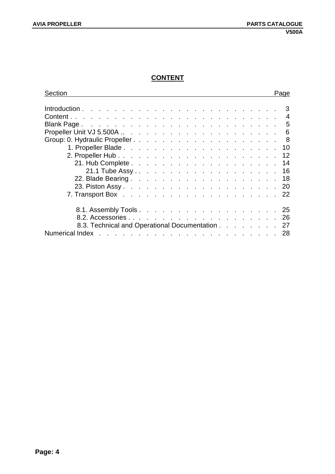### **CONTENT**

| Section                                         |  |  |  |  |  |  |  |  |  | Page |
|-------------------------------------------------|--|--|--|--|--|--|--|--|--|------|
|                                                 |  |  |  |  |  |  |  |  |  | 3    |
|                                                 |  |  |  |  |  |  |  |  |  |      |
|                                                 |  |  |  |  |  |  |  |  |  |      |
|                                                 |  |  |  |  |  |  |  |  |  |      |
|                                                 |  |  |  |  |  |  |  |  |  |      |
|                                                 |  |  |  |  |  |  |  |  |  |      |
|                                                 |  |  |  |  |  |  |  |  |  |      |
|                                                 |  |  |  |  |  |  |  |  |  |      |
|                                                 |  |  |  |  |  |  |  |  |  |      |
|                                                 |  |  |  |  |  |  |  |  |  |      |
|                                                 |  |  |  |  |  |  |  |  |  |      |
|                                                 |  |  |  |  |  |  |  |  |  |      |
| 8.1. Assembly Tools 25                          |  |  |  |  |  |  |  |  |  |      |
|                                                 |  |  |  |  |  |  |  |  |  | 26   |
| 8.3. Technical and Operational Documentation 27 |  |  |  |  |  |  |  |  |  |      |
| Numerical Index                                 |  |  |  |  |  |  |  |  |  | . 28 |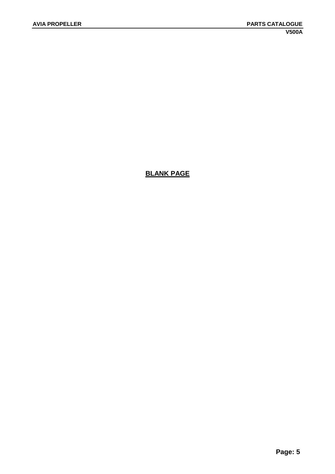**BLANK PAGE**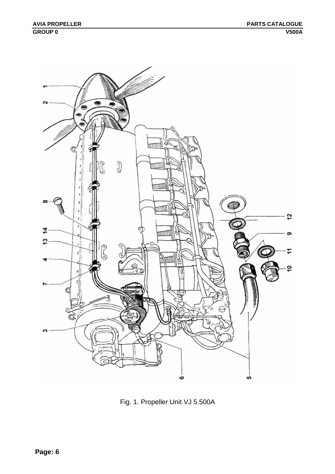

Fig. 1. Propeller Unit VJ 5.500A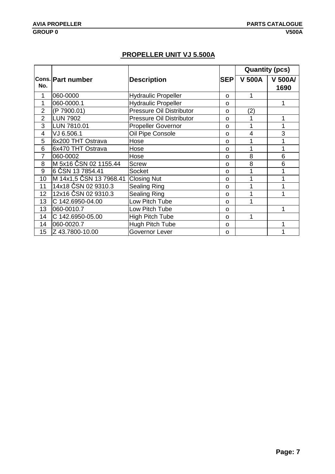#### **PROPELLER UNIT VJ 5.500A**

|                 |                          |                            |            |               | <b>Quantity (pcs)</b>  |
|-----------------|--------------------------|----------------------------|------------|---------------|------------------------|
| No.             | <b>Cons. Part number</b> | <b>Description</b>         | <b>SEP</b> | <b>V 500A</b> | <b>V 500A/</b><br>1690 |
| 1               | 060-0000                 | <b>Hydraulic Propeller</b> | O          | 1             |                        |
| 1               | 060-0000.1               | <b>Hydraulic Propeller</b> | O          |               | 1                      |
| $\overline{2}$  | (P 7900.01)              | Pressure Oil Distributor   | O          | (2)           |                        |
| $\overline{2}$  | <b>LUN 7902</b>          | Pressure Oil Distributor   | O          |               | 1                      |
| 3               | LUN 7810.01              | <b>Propeller Governor</b>  | O          |               | 1                      |
| $\overline{4}$  | VJ 6.506.1               | Oil Pipe Console           | O          | 4             | 3                      |
| 5               | 6x200 THT Ostrava        | Hose                       | $\Omega$   |               | 1                      |
| 6               | 6x470 THT Ostrava        | Hose                       | $\Omega$   |               | 1                      |
| $\overline{7}$  | 060-0002                 | Hose                       | $\Omega$   | 8             | 6                      |
| 8               | M 5x16 ČSN 02 1155.44    | <b>Screw</b>               | $\Omega$   | 8             | 6                      |
| 9               | 6 ČSN 13 7854.41         | Socket                     | O          |               | 1                      |
| 10              | M 14x1,5 ČSN 13 7968.41  | <b>Closing Nut</b>         | $\circ$    |               | 1                      |
| 11              | 14x18 ČSN 02 9310.3      | Sealing Ring               | $\Omega$   |               | 1                      |
| 12 <sub>2</sub> | 12x16 ČSN 02 9310.3      | Sealing Ring               | $\Omega$   |               | 1                      |
| 13              | C 142.6950-04.00         | Low Pitch Tube             | $\Omega$   |               |                        |
| 13              | 060-0010.7               | Low Pitch Tube             | O          |               | 1                      |
| 14              | C 142.6950-05.00         | <b>High Pitch Tube</b>     | $\Omega$   | 1             |                        |
| 14              | 060-0020.7               | Hugh Pitch Tube            | O          |               | 1                      |
| 15              | Z 43.7800-10.00          | Governor Lever             | O          |               |                        |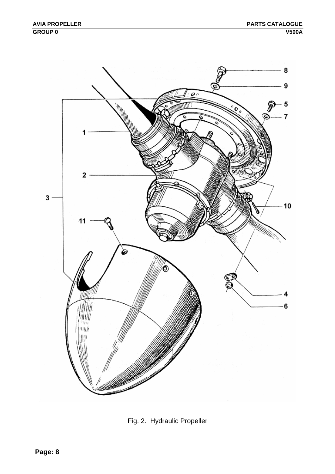

Fig. 2. Hydraulic Propeller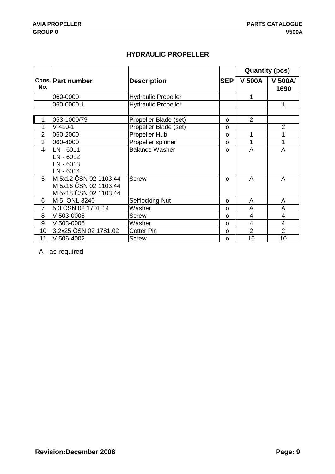#### **HYDRAULIC PROPELLER**

|                |                       |                            |            |                | <b>Quantity (pcs)</b>  |
|----------------|-----------------------|----------------------------|------------|----------------|------------------------|
| No.            | Cons. Part number     | <b>Description</b>         | <b>SEP</b> | <b>V 500A</b>  | <b>V 500A/</b><br>1690 |
|                | 060-0000              | <b>Hydraulic Propeller</b> |            | 1              |                        |
|                | 060-0000.1            | <b>Hydraulic Propeller</b> |            |                | 1                      |
|                |                       |                            |            |                |                        |
| 1              | 053-1000/79           | Propeller Blade (set)      | $\Omega$   | $\overline{2}$ |                        |
| 1              | $V$ 410-1             | Propeller Blade (set)      | O          |                | $\overline{2}$         |
| $\overline{2}$ | 060-2000              | Propeller Hub              | $\Omega$   | 1              | 1                      |
| 3              | 060-4000              | Propeller spinner          | $\Omega$   | 1              | 1                      |
| $\overline{4}$ | LN - 6011             | <b>Balance Washer</b>      | $\Omega$   | A              | A                      |
|                | LN - 6012             |                            |            |                |                        |
|                | LN - 6013             |                            |            |                |                        |
|                | LN - 6014             |                            |            |                |                        |
| 5              | M 5x12 ČSN 02 1103.44 | <b>Screw</b>               | $\Omega$   | A              | A                      |
|                | M 5x16 ČSN 02 1103.44 |                            |            |                |                        |
|                | M 5x18 ČSN 02 1103.44 |                            |            |                |                        |
| 6              | M 5 ONL 3240          | Selflocking Nut            | $\Omega$   | A              | A                      |
| $\overline{7}$ | 5,3 ČSN 02 1701.14    | Washer                     | $\Omega$   | A              | A                      |
| 8              | V 503-0005            | <b>Screw</b>               | O          | $\overline{4}$ | $\overline{4}$         |
| 9              | V 503-0006            | Washer                     | O          | $\overline{4}$ | 4                      |
| 10             | 3,2x25 ČSN 02 1781.02 | <b>Cotter Pin</b>          | O          | $\overline{2}$ | $\overline{2}$         |
| 11             | V 506-4002            | <b>Screw</b>               | $\Omega$   | 10             | 10                     |

A - as required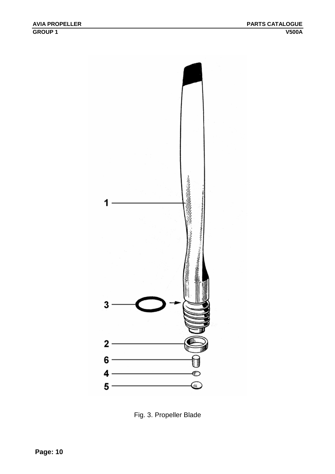

Fig. 3. Propeller Blade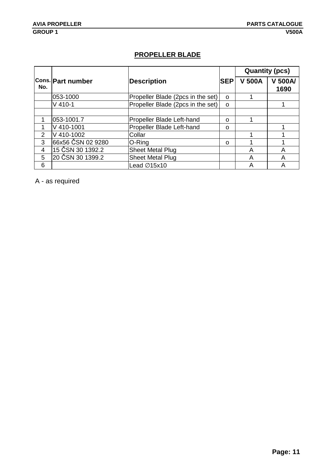### **PROPELLER BLADE**

|                |                   |                                   |            | <b>Quantity (pcs)</b> |                        |
|----------------|-------------------|-----------------------------------|------------|-----------------------|------------------------|
| No.            | Cons. Part number | <b>Description</b>                | <b>SEP</b> | <b>V 500A</b>         | <b>V 500A/</b><br>1690 |
|                | 053-1000          | Propeller Blade (2pcs in the set) | $\Omega$   |                       |                        |
|                | $V$ 410-1         | Propeller Blade (2pcs in the set) | $\Omega$   |                       |                        |
|                |                   |                                   |            |                       |                        |
|                | 053-1001.7        | Propeller Blade Left-hand         | O          |                       |                        |
|                | V 410-1001        | Propeller Blade Left-hand         | $\Omega$   |                       |                        |
| $\overline{2}$ | V 410-1002        | Collar                            |            |                       |                        |
| 3              | 66x56 ČSN 02 9280 | O-Ring                            | $\Omega$   |                       |                        |
| 4              | 15 ČSN 30 1392.2  | <b>Sheet Metal Plug</b>           |            | А                     | А                      |
| 5              | 20 ČSN 30 1399.2  | Sheet Metal Plug                  |            |                       | А                      |
| 6              |                   | Lead Ø15x10                       |            |                       | Α                      |

A - as required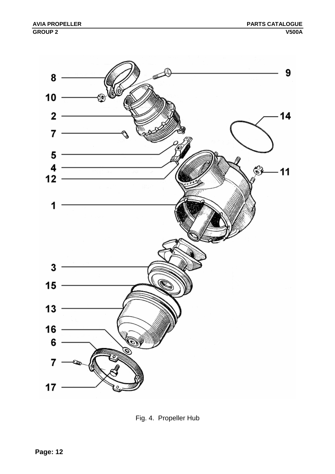

Fig. 4. Propeller Hub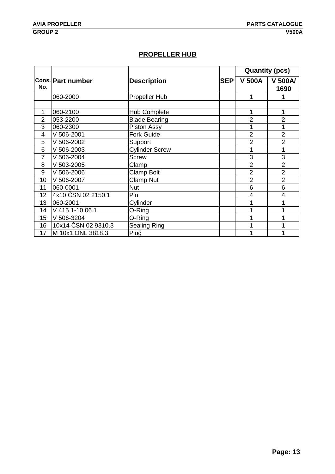#### **PROPELLER HUB**

|                |                          |                       |            |                | <b>Quantity (pcs)</b>  |  |  |  |
|----------------|--------------------------|-----------------------|------------|----------------|------------------------|--|--|--|
| No.            | <b>Cons. Part number</b> | <b>Description</b>    | <b>SEP</b> | <b>V 500A</b>  | <b>V 500A/</b><br>1690 |  |  |  |
|                | 060-2000                 | <b>Propeller Hub</b>  |            | 1              |                        |  |  |  |
|                |                          |                       |            |                |                        |  |  |  |
| 1              | 060-2100                 | Hub Complete          |            |                | 1                      |  |  |  |
| $\overline{2}$ | 053-2200                 | <b>Blade Bearing</b>  |            | $\overline{2}$ | $\overline{2}$         |  |  |  |
| 3              | 060-2300                 | <b>Piston Assy</b>    |            |                | 1                      |  |  |  |
| 4              | V 506-2001               | <b>Fork Guide</b>     |            | $\overline{2}$ | $\overline{2}$         |  |  |  |
| 5              | V 506-2002               | Support               |            | $\overline{2}$ | $\overline{2}$         |  |  |  |
| 6              | V 506-2003               | <b>Cylinder Screw</b> |            |                | 1                      |  |  |  |
| $\overline{7}$ | V 506-2004               | <b>Screw</b>          |            | 3              | 3                      |  |  |  |
| 8              | V 503-2005               | Clamp                 |            | $\overline{2}$ | $\overline{2}$         |  |  |  |
| 9              | V 506-2006               | Clamp Bolt            |            | $\overline{2}$ | $\overline{2}$         |  |  |  |
| 10             | V 506-2007               | <b>Clamp Nut</b>      |            | $\overline{2}$ | $\overline{2}$         |  |  |  |
| 11             | 060-0001                 | <b>Nut</b>            |            | 6              | 6                      |  |  |  |
| 12             | 4x10 ČSN 02 2150.1       | Pin                   |            | 4              | $\overline{4}$         |  |  |  |
| 13             | 060-2001                 | Cylinder              |            |                | 1                      |  |  |  |
| 14             | V 415.1-10.06.1          | O-Ring                |            |                | 1                      |  |  |  |
| 15             | V 506-3204               | O-Ring                |            |                |                        |  |  |  |
| 16             | 10x14 ČSN 02 9310.3      | Sealing Ring          |            |                |                        |  |  |  |
| 17             | M 10x1 ONL 3818.3        | Plug                  |            |                |                        |  |  |  |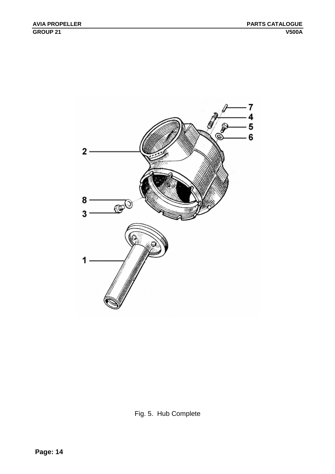

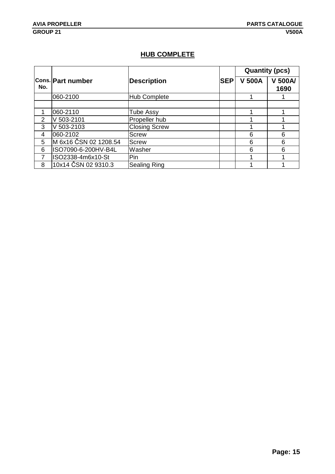#### **HUB COMPLETE**

|     |                          |                      |            | <b>Quantity (pcs)</b> |                        |  |  |
|-----|--------------------------|----------------------|------------|-----------------------|------------------------|--|--|
| No. | <b>Cons. Part number</b> | <b>Description</b>   | <b>SEP</b> | <b>V 500A</b>         | <b>V 500A/</b><br>1690 |  |  |
|     | 060-2100                 | <b>Hub Complete</b>  |            |                       |                        |  |  |
|     |                          |                      |            |                       |                        |  |  |
| 4   | 060-2110                 | Tube Assy            |            |                       |                        |  |  |
| 2   | V 503-2101               | Propeller hub        |            |                       |                        |  |  |
| 3   | V 503-2103               | <b>Closing Screw</b> |            |                       |                        |  |  |
| 4   | 060-2102                 | <b>Screw</b>         |            | 6                     | 6                      |  |  |
| 5   | M 6x16 ČSN 02 1208.54    | Screw                |            | 6                     | 6                      |  |  |
| 6   | ISO7090-6-200HV-B4L      | Washer               |            | 6                     | 6                      |  |  |
| 7   | ISO2338-4m6x10-St        | Pin                  |            |                       |                        |  |  |
| 8   | 10x14 ČSN 02 9310.3      | <b>Sealing Ring</b>  |            |                       |                        |  |  |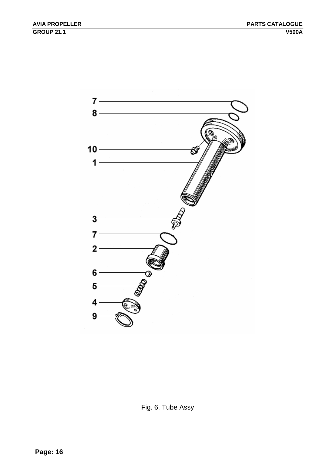

Fig. 6. Tube Assy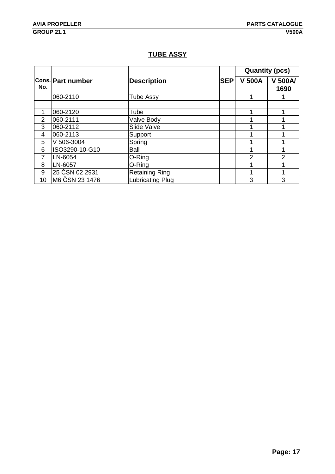### **TUBE ASSY**

|                |                          |                         |            | <b>Quantity (pcs)</b> |                        |  |  |
|----------------|--------------------------|-------------------------|------------|-----------------------|------------------------|--|--|
| No.            | <b>Cons. Part number</b> | <b>Description</b>      | <b>SEP</b> | <b>V 500A</b>         | <b>V 500A/</b><br>1690 |  |  |
|                | 060-2110                 | Tube Assy               |            |                       |                        |  |  |
|                |                          |                         |            |                       |                        |  |  |
| 1              | 060-2120                 | Tube                    |            |                       |                        |  |  |
| $\overline{2}$ | 060-2111                 | Valve Body              |            |                       |                        |  |  |
| 3              | 060-2112                 | Slide Valve             |            |                       |                        |  |  |
| 4              | 060-2113                 | Support                 |            |                       |                        |  |  |
| 5              | V 506-3004               | Spring                  |            |                       |                        |  |  |
| 6              | ISO3290-10-G10           | Ball                    |            |                       |                        |  |  |
| 7              | LN-6054                  | O-Ring                  |            | 2                     | 2                      |  |  |
| 8              | LN-6057                  | O-Ring                  |            |                       |                        |  |  |
| 9              | 25 ČSN 02 2931           | <b>Retaining Ring</b>   |            |                       |                        |  |  |
| 10             | M6 ČSN 23 1476           | <b>Lubricating Plug</b> |            | 3                     | 3                      |  |  |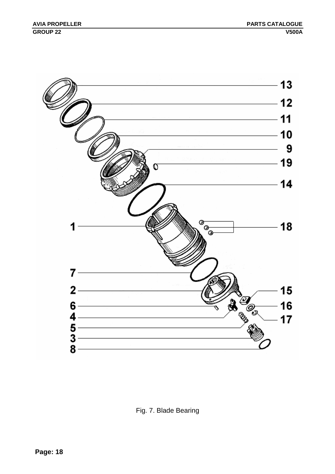

Fig. 7. Blade Bearing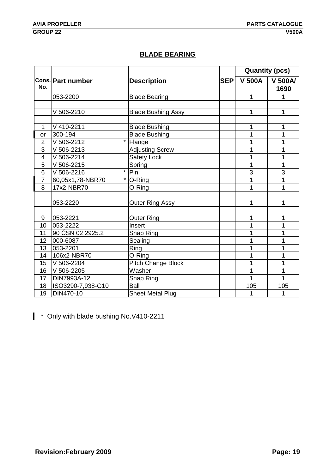#### **BLADE BEARING**

|                |                             |                           |            | <b>Quantity (pcs)</b> |                        |
|----------------|-----------------------------|---------------------------|------------|-----------------------|------------------------|
| No.            | Cons. Part number           | <b>Description</b>        | <b>SEP</b> | <b>V 500A</b>         | <b>V 500A/</b><br>1690 |
|                | 053-2200                    | <b>Blade Bearing</b>      |            | 1                     | 1                      |
|                |                             |                           |            |                       |                        |
|                | V 506-2210                  | <b>Blade Bushing Assy</b> |            | 1                     | 1                      |
|                |                             |                           |            |                       |                        |
| $\mathbf{1}$   | V 410-2211                  | <b>Blade Bushing</b>      |            | 1                     | 1                      |
| or             | 300-194                     | <b>Blade Bushing</b>      |            | 1                     | 1                      |
| $\overline{2}$ | $\star$<br>V 506-2212       | Flange                    |            |                       | 1                      |
| 3              | V 506-2213                  | <b>Adjusting Screw</b>    |            |                       | 1                      |
| $\overline{4}$ | V 506-2214                  | Safety Lock               |            |                       | 1                      |
| 5              | V 506-2215                  | Spring                    |            | 1                     | 1                      |
| $\overline{6}$ | $\star$<br>V 506-2216       | Pin                       |            | $\overline{3}$        | 3                      |
| $\overline{7}$ | $\star$<br>60,05x1,78-NBR70 | O-Ring                    |            | 1                     | 1                      |
| 8              | 17x2-NBR70                  | O-Ring                    |            | 1                     | 1                      |
|                |                             |                           |            |                       |                        |
|                | 053-2220                    | <b>Outer Ring Assy</b>    |            | 1                     | 1                      |
|                |                             |                           |            |                       |                        |
| 9              | 053-2221                    | <b>Outer Ring</b>         |            | 1                     | 1                      |
| 10             | 053-2222                    | Insert                    |            | 1                     | 1                      |
| 11             | 90 ČSN 02 2925.2            | Snap Ring                 |            | 1                     | 1                      |
| 12             | 000-6087                    | Sealing                   |            | 1                     | 1                      |
| 13             | 053-2201                    | Ring                      |            | 1                     | 1                      |
| 14             | 106x2-NBR70                 | O-Ring                    |            |                       | 1                      |
| 15             | V 506-2204                  | <b>Pitch Change Block</b> |            | 1                     | 1                      |
| 16             | V 506-2205                  | Washer                    |            | 1                     | 1                      |
| 17             | DIN7993A-12                 | Snap Ring                 |            | 1                     | $\overline{1}$         |
| 18             | ISO3290-7,938-G10           | Ball                      |            | 105                   | 105                    |
| 19             | DIN470-10                   | <b>Sheet Metal Plug</b>   |            | 1                     | 1                      |

\* Only with blade bushing No.V410-2211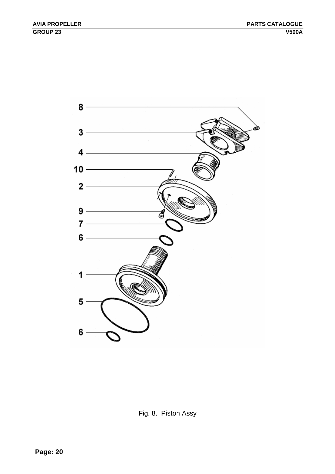

Fig. 8. Piston Assy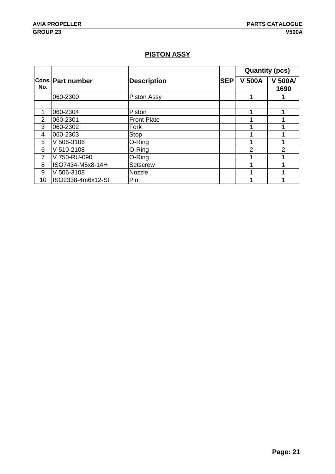#### **PISTON ASSY**

|                |                          |                    |            | <b>Quantity (pcs)</b> |                        |  |  |  |
|----------------|--------------------------|--------------------|------------|-----------------------|------------------------|--|--|--|
| No.            | <b>Cons. Part number</b> | <b>Description</b> | <b>SEP</b> | <b>V 500A</b>         | <b>V 500A/</b><br>1690 |  |  |  |
|                | 060-2300                 | Piston Assy        |            |                       |                        |  |  |  |
|                |                          |                    |            |                       |                        |  |  |  |
| 1              | 060-2304                 | Piston             |            |                       |                        |  |  |  |
| $\overline{2}$ | 060-2301                 | <b>Front Plate</b> |            |                       |                        |  |  |  |
| 3              | 060-2302                 | Fork               |            |                       |                        |  |  |  |
| 4              | 060-2303                 | Stop               |            |                       |                        |  |  |  |
| 5              | V 506-3106               | O-Ring             |            |                       |                        |  |  |  |
| 6              | V 510-2108               | O-Ring             |            | 2                     | 2                      |  |  |  |
| 7              | V 750-RU-090             | O-Ring             |            |                       |                        |  |  |  |
| 8              | ISO7434-M5x8-14H         | Setscrew           |            |                       |                        |  |  |  |
| 9              | V 506-3108               | <b>Nozzle</b>      |            |                       |                        |  |  |  |
| 10             | ISO2338-4m6x12-St        | Pin                |            |                       |                        |  |  |  |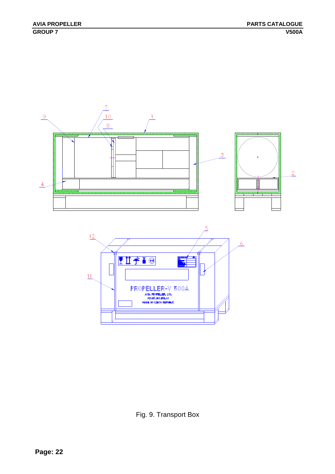

Fig. 9. Transport Box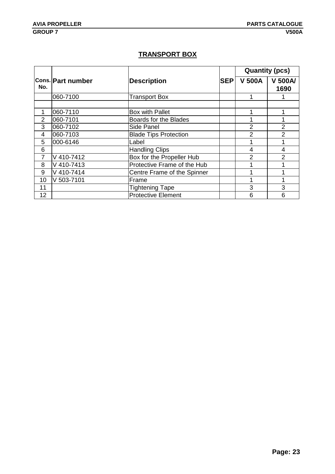#### **TRANSPORT BOX**

|                |                          |                              |            | <b>Quantity (pcs)</b> |                        |  |  |
|----------------|--------------------------|------------------------------|------------|-----------------------|------------------------|--|--|
| No.            | <b>Cons. Part number</b> | <b>Description</b>           | <b>SEP</b> | <b>V 500A</b>         | <b>V 500A/</b><br>1690 |  |  |
|                | 060-7100                 | <b>Transport Box</b>         |            |                       |                        |  |  |
|                |                          |                              |            |                       |                        |  |  |
| 1              | 060-7110                 | <b>Box with Pallet</b>       |            |                       |                        |  |  |
| $\overline{2}$ | 060-7101                 | Boards for the Blades        |            |                       |                        |  |  |
| 3              | 060-7102                 | Side Panel                   |            | 2                     | 2                      |  |  |
| 4              | 060-7103                 | <b>Blade Tips Protection</b> |            | 2                     | $\overline{2}$         |  |  |
| 5              | 000-6146                 | Label                        |            |                       |                        |  |  |
| 6              |                          | <b>Handling Clips</b>        |            | 4                     | 4                      |  |  |
| 7              | V 410-7412               | Box for the Propeller Hub    |            | 2                     | $\overline{2}$         |  |  |
| 8              | V 410-7413               | Protective Frame of the Hub  |            |                       |                        |  |  |
| 9              | V 410-7414               | Centre Frame of the Spinner  |            |                       |                        |  |  |
| 10             | V 503-7101               | Frame                        |            |                       |                        |  |  |
| 11             |                          | <b>Tightening Tape</b>       |            | 3                     | 3                      |  |  |
| 12             |                          | <b>Protective Element</b>    |            | 6                     | 6                      |  |  |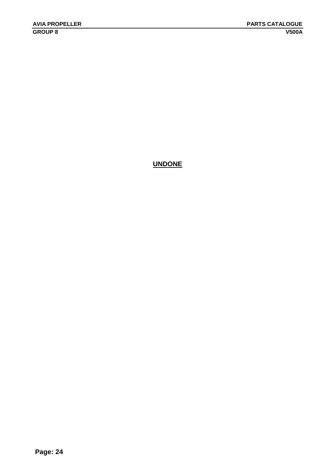**UNDONE**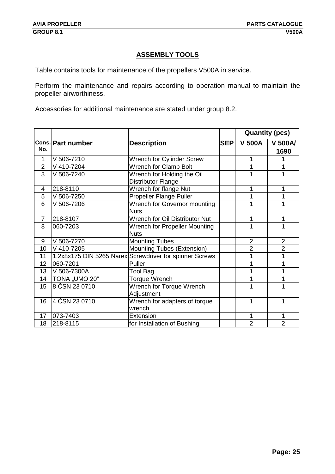#### **ASSEMBLY TOOLS**

Table contains tools for maintenance of the propellers V500A in service.

Perform the maintenance and repairs according to operation manual to maintain the propeller airworthiness.

Accessories for additional maintenance are stated under group 8.2.

|                |                          |                                                         |            |                | <b>Quantity (pcs)</b>  |  |
|----------------|--------------------------|---------------------------------------------------------|------------|----------------|------------------------|--|
| No.            | <b>Cons. Part number</b> | <b>Description</b>                                      | <b>SEP</b> | <b>V 500A</b>  | <b>V 500A/</b><br>1690 |  |
| 1              | V 506-7210               | Wrench for Cylinder Screw                               |            | 1              | 1                      |  |
| $\overline{2}$ | V 410-7204               | <b>Wrench for Clamp Bolt</b>                            |            | 1              | 1                      |  |
| $\overline{3}$ | V 506-7240               | Wrench for Holding the Oil<br><b>Distributor Flange</b> |            |                | 1                      |  |
| 4              | 218-8110                 | Wrench for flange Nut                                   |            | 1              | 1                      |  |
| 5              | V 506-7250               | <b>Propeller Flange Puller</b>                          |            |                | 1                      |  |
| 6              | V 506-7206               | Wrench for Governor mounting<br><b>Nuts</b>             |            |                | 1                      |  |
| $\overline{7}$ | 218-8107                 | Wrench for Oil Distributor Nut                          |            | 1              | 1                      |  |
| 8              | 060-7203                 | Wrench for Propeller Mounting<br><b>Nuts</b>            |            | 1              | 1                      |  |
| 9              | V 506-7270               | <b>Mounting Tubes</b>                                   |            | $\overline{2}$ | $\overline{2}$         |  |
| 10             | V 410-7205               | Mounting Tubes (Extension)                              |            | $\overline{2}$ | $\overline{2}$         |  |
| 11             |                          | 1,2x8x175 DIN 5265 Narex Screwdriver for spinner Screws |            |                | 1                      |  |
| 12             | 060-7201                 | Puller                                                  |            |                | 1                      |  |
| 13             | V 506-7300A              | Tool Bag                                                |            |                | 1                      |  |
| 14             | TONA "UMO 20"            | Torque Wrench                                           |            |                | 1                      |  |
| 15             | 8 ČSN 23 0710            | Wrench for Torque Wrench<br>Adjustment                  |            | 1              | 1                      |  |
| 16             | 4 ČSN 23 0710            | Wrench for adapters of torque<br>wrench                 |            | 1              | 1                      |  |
| 17             | 073-7403                 | <b>Extension</b>                                        |            | 1              | 1                      |  |
| 18             | 218-8115                 | for Installation of Bushing                             |            | $\overline{2}$ | $\overline{2}$         |  |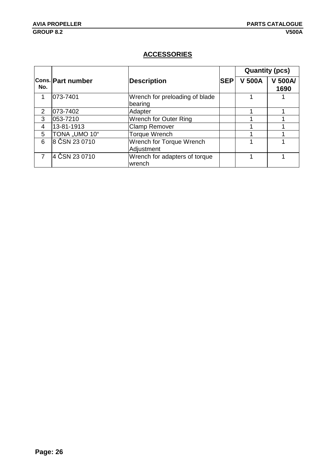#### **ACCESSORIES**

|     |                   |                                           |            | <b>Quantity (pcs)</b> |                        |
|-----|-------------------|-------------------------------------------|------------|-----------------------|------------------------|
| No. | Cons. Part number | <b>Description</b>                        | <b>SEP</b> | <b>V 500A</b>         | <b>V 500A/</b><br>1690 |
|     | 073-7401          | Wrench for preloading of blade<br>bearing |            |                       |                        |
| 2   | 073-7402          | Adapter                                   |            |                       |                        |
| 3   | 053-7210          | Wrench for Outer Ring                     |            |                       |                        |
| 4   | 13-81-1913        | <b>Clamp Remover</b>                      |            |                       |                        |
| 5   | TONA "UMO 10"     | <b>Torque Wrench</b>                      |            |                       |                        |
| 6   | 8 ČSN 23 0710     | Wrench for Torque Wrench<br>Adjustment    |            |                       |                        |
| 7   | 4 ČSN 23 0710     | Wrench for adapters of torque<br>wrench   |            |                       |                        |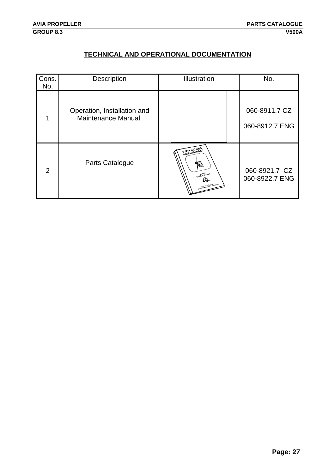### **TECHNICAL AND OPERATIONAL DOCUMENTATION**

| Cons.<br>No.   | Description                                              | Illustration                                           | No.                             |
|----------------|----------------------------------------------------------|--------------------------------------------------------|---------------------------------|
|                | Operation, Installation and<br><b>Maintenance Manual</b> |                                                        | 060-8911.7 CZ<br>060-8912.7 ENG |
| $\overline{2}$ | Parts Catalogue                                          | V 500A KATALOO<br>HAHRADNICH DILU<br><b>LECTLE AND</b> | 060-8921.7 CZ<br>060-8922.7 ENG |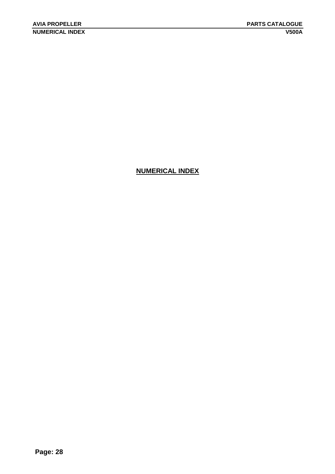**NUMERICAL INDEX**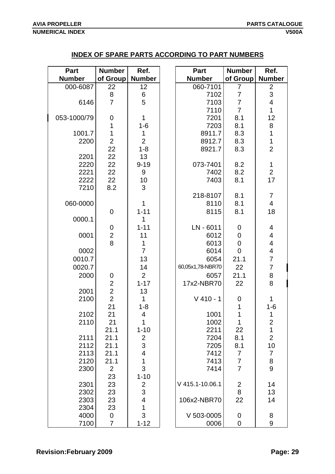**NUMERICAL INDEX V500A**

#### **INDEX OF SPARE PARTS ACCORDING TO PART NUMBERS**

| Part          | <b>Number</b>                              | Ref.                     | Part             | <b>Number</b>         | Ref.                             |
|---------------|--------------------------------------------|--------------------------|------------------|-----------------------|----------------------------------|
| <b>Number</b> | of Group                                   | <b>Number</b>            | <b>Number</b>    | of Group              | <b>Number</b>                    |
| 000-6087      | 22                                         | 12                       | 060-7101         | 7                     | $\overline{c}$                   |
|               | 8                                          | 6                        | 7102             | $\overline{7}$        | 3                                |
| 6146          | $\overline{7}$                             | 5                        | 7103             | $\overline{7}$        | $\overline{\mathcal{A}}$         |
|               |                                            |                          | 7110             | $\overline{7}$        | $\mathbf{1}$                     |
| 053-1000/79   | 0                                          | 1                        | 7201             | 8.1                   | 12                               |
|               | 1                                          | $1 - 6$                  | 7203             | 8.1                   | 8                                |
| 1001.7        | $\mathbf 1$                                | $\mathbf 1$              | 8911.7           | 8.3                   | $\overline{1}$                   |
| 2200          | $\overline{2}$                             | $\overline{2}$           | 8912.7           | 8.3                   | $\frac{1}{2}$                    |
|               | 22                                         | $1 - 8$                  | 8921.7           | 8.3                   |                                  |
| 2201          | 22                                         | 13                       |                  |                       |                                  |
| 2220          | 22                                         | $9 - 19$                 | 073-7401         | 8.2                   | $\mathbf 1$                      |
| 2221          | 22                                         | 9                        | 7402             | 8.2                   | $\overline{2}$                   |
| 2222          | 22                                         | 10                       | 7403             | 8.1                   | 17                               |
| 7210          | 8.2                                        | 3                        | 218-8107         | 8.1                   |                                  |
|               |                                            | $\mathbf{1}$             |                  |                       | $\overline{7}$<br>$\overline{4}$ |
| 060-0000      |                                            |                          | 8110             | 8.1                   |                                  |
|               | $\pmb{0}$                                  | $1 - 11$<br>$\mathbf 1$  | 8115             | 8.1                   | 18                               |
| 0000.1        |                                            |                          |                  |                       |                                  |
|               |                                            | $1 - 11$<br>11           | LN - 6011        | 0                     | $\overline{4}$                   |
| 0001          | $\begin{array}{c} 0 \\ 2 \\ 8 \end{array}$ | 1                        | 6012<br>6013     | 0<br>$\boldsymbol{0}$ | 4<br>4                           |
| 0002          |                                            | $\overline{7}$           | 6014             | $\overline{0}$        | $\overline{\mathbf{4}}$          |
| 0010.7        |                                            | 13                       | 6054             | 21.1                  | $\overline{7}$                   |
| 0020.7        |                                            | 14                       | 60,05x1,78-NBR70 | 22                    | $\overline{7}$                   |
| 2000          |                                            | $\overline{2}$           | 6057             | 21.1                  | $\bf 8$                          |
|               | $\begin{array}{c} 0 \\ 2 \\ 2 \end{array}$ | $1 - 17$                 | 17x2-NBR70       | 22                    | 8                                |
| 2001          |                                            | 13                       |                  |                       |                                  |
| 2100          | $\overline{2}$                             | $\mathbf{1}$             | $V$ 410 - 1      | 0                     | $\mathbf{1}$                     |
|               | 21                                         | $1 - 8$                  |                  | 1                     | $1 - 6$                          |
| 2102          | 21                                         | $\overline{4}$           | 1001             | 1                     | $\mathbf 1$                      |
| 2110          | 21                                         | 1                        | 1002             | 1                     | $\overline{\mathbf{c}}$          |
|               | 21.1                                       | $1 - 10$                 | 2211             | 22                    | $\overline{1}$                   |
| 2111          | 21.1                                       | $\overline{c}$           | 7204             | 8.1                   | $\overline{2}$                   |
| 2112          | 21.1                                       | 3                        | 7205             | 8.1                   | 10                               |
| 2113          | 21.1                                       | $\overline{\mathcal{A}}$ | 7412             | 7                     | $\overline{7}$                   |
| 2120          | 21.1                                       | $\overline{\mathbf{1}}$  | 7413             | $\overline{7}$        | $\bf 8$                          |
| 2300          | $\overline{2}$                             | 3                        | 7414             | $\overline{7}$        | 9                                |
|               | 23                                         | $1 - 10$                 |                  |                       |                                  |
| 2301          | 23                                         | $\overline{c}$           | V 415.1-10.06.1  | $\overline{c}$        | 14                               |
| 2302          | 23                                         | 3                        |                  | 8                     | 13                               |
| 2303          | 23                                         | $\overline{\mathbf{4}}$  | 106x2-NBR70      | 22                    | 14                               |
| 2304          | 23                                         | $\overline{1}$           |                  |                       |                                  |
| 4000          | $\pmb{0}$                                  | $\overline{3}$           | V 503-0005       | $\pmb{0}$             | 8                                |
| 7100          | $\overline{7}$                             | $1 - 12$                 | 0006             | 0                     | $\boldsymbol{9}$                 |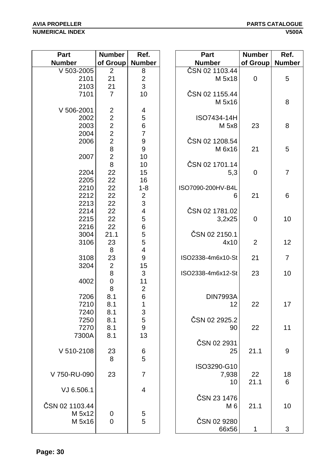| Part           | <b>Number</b>                              | Ref.                     | <b>Part</b>       | <b>Number</b>  | Ref.           |
|----------------|--------------------------------------------|--------------------------|-------------------|----------------|----------------|
| <b>Number</b>  | of Group                                   | <b>Number</b>            | <b>Number</b>     | of Group       | <b>Number</b>  |
| V 503-2005     | $\overline{2}$                             | 8                        | ČSN 02 1103.44    |                |                |
| 2101           | 21                                         | $\frac{2}{3}$            | M 5x18            | $\mathbf 0$    | 5              |
| 2103           | 21                                         |                          |                   |                |                |
| 7101           | $\overline{7}$                             | 10                       | ČSN 02 1155.44    |                |                |
|                |                                            |                          | M 5x16            |                | 8              |
| V 506-2001     | $\mathbf 2$                                | 4                        |                   |                |                |
| 2002           | $\overline{c}$                             | 5                        | ISO7434-14H       |                |                |
| 2003           | $\frac{2}{2}$                              | 6                        | M 5x8             | 23             | 8              |
| 2004           |                                            | $\overline{7}$           |                   |                |                |
| 2006           | $\overline{c}$                             | 9                        | ČSN 02 1208.54    |                |                |
|                | $\begin{array}{c} 8 \\ 2 \\ 8 \end{array}$ | 9                        | M 6x16            | 21             | 5              |
| 2007           |                                            | 10                       |                   |                |                |
|                |                                            | 10                       | ČSN 02 1701.14    |                |                |
| 2204           | 22                                         | 15                       | 5,3               | $\mathbf 0$    | $\overline{7}$ |
| 2205           | 22                                         | 16                       |                   |                |                |
| 2210           | 22                                         | $1 - 8$                  | ISO7090-200HV-B4L |                |                |
| 2212           | 22                                         | $\overline{2}$           | 6                 | 21             | 6              |
| 2213           | 22                                         | 3                        |                   |                |                |
| 2214           | 22                                         | $\overline{\mathcal{A}}$ | ČSN 02 1781.02    |                |                |
| 2215<br>2216   | 22<br>22                                   | 5<br>6                   | 3,2x25            | $\mathbf 0$    | 10             |
| 3004           | 21.1                                       | 5                        | ČSN 02 2150.1     |                |                |
| 3106           | 23                                         | 5                        | 4x10              | $\overline{2}$ | 12             |
|                | 8                                          | $\overline{\mathbf{4}}$  |                   |                |                |
| 3108           | 23                                         | 9                        | ISO2338-4m6x10-St | 21             | $\overline{7}$ |
| 3204           | $\mathbf{2}$                               | 15                       |                   |                |                |
|                | 8                                          | 3                        | ISO2338-4m6x12-St | 23             | 10             |
| 4002           | $\mathbf 0$                                | 11                       |                   |                |                |
|                | 8                                          | $\mathbf 2$              |                   |                |                |
| 7206           | 8.1                                        | 6                        | <b>DIN7993A</b>   |                |                |
| 7210           | 8.1                                        | 1                        | 12                | 22             | 17             |
| 7240           | 8.1                                        | 3                        |                   |                |                |
| 7250           | 8.1                                        | 5                        | ČSN 02 2925.2     |                |                |
| 7270           | 8.1                                        | 9                        | 90                | 22             | 11             |
| 7300A          | 8.1                                        | 13                       |                   |                |                |
|                |                                            |                          | ČSN 02 2931       |                |                |
| V 510-2108     | 23                                         | 6                        | 25                | 21.1           | 9              |
|                | 8                                          | 5                        |                   |                |                |
|                |                                            |                          | ISO3290-G10       |                |                |
| V 750-RU-090   | 23                                         | $\overline{7}$           | 7,938             | 22             | 18             |
|                |                                            |                          | 10                | 21.1           | 6              |
| VJ 6.506.1     |                                            | 4                        |                   |                |                |
|                |                                            |                          | ČSN 23 1476       |                |                |
| ČSN 02 1103.44 |                                            |                          | M 6               | 21.1           | 10             |
| M 5x12         | $\boldsymbol{0}$                           | 5                        |                   |                |                |
| M 5x16         | $\mathbf 0$                                | 5                        | ČSN 02 9280       |                |                |
|                |                                            |                          | 66x56             | 1              | 3              |